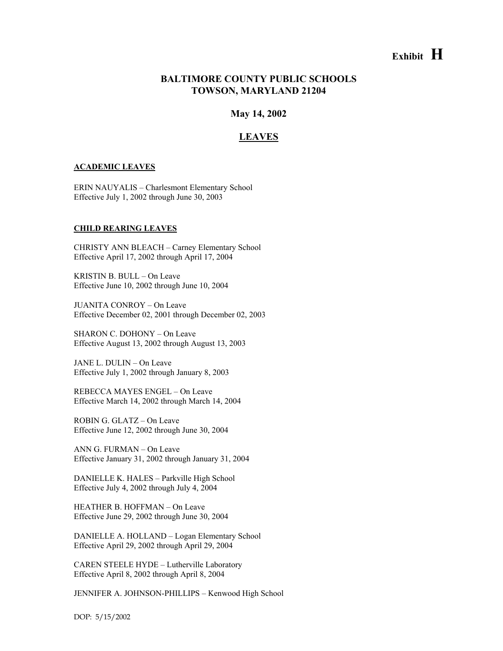# **Exhibit H**

# **BALTIMORE COUNTY PUBLIC SCHOOLS TOWSON, MARYLAND 21204**

**May 14, 2002** 

# **LEAVES**

### **ACADEMIC LEAVES**

ERIN NAUYALIS – Charlesmont Elementary School Effective July 1, 2002 through June 30, 2003

### **CHILD REARING LEAVES**

CHRISTY ANN BLEACH – Carney Elementary School Effective April 17, 2002 through April 17, 2004

KRISTIN B. BULL – On Leave Effective June 10, 2002 through June 10, 2004

JUANITA CONROY – On Leave Effective December 02, 2001 through December 02, 2003

SHARON C. DOHONY – On Leave Effective August 13, 2002 through August 13, 2003

JANE L. DULIN – On Leave Effective July 1, 2002 through January 8, 2003

REBECCA MAYES ENGEL – On Leave Effective March 14, 2002 through March 14, 2004

ROBIN G. GLATZ – On Leave Effective June 12, 2002 through June 30, 2004

ANN G. FURMAN – On Leave Effective January 31, 2002 through January 31, 2004

DANIELLE K. HALES – Parkville High School Effective July 4, 2002 through July 4, 2004

HEATHER B. HOFFMAN – On Leave Effective June 29, 2002 through June 30, 2004

DANIELLE A. HOLLAND – Logan Elementary School Effective April 29, 2002 through April 29, 2004

CAREN STEELE HYDE – Lutherville Laboratory Effective April 8, 2002 through April 8, 2004

JENNIFER A. JOHNSON-PHILLIPS – Kenwood High School

DOP: 5/15/2002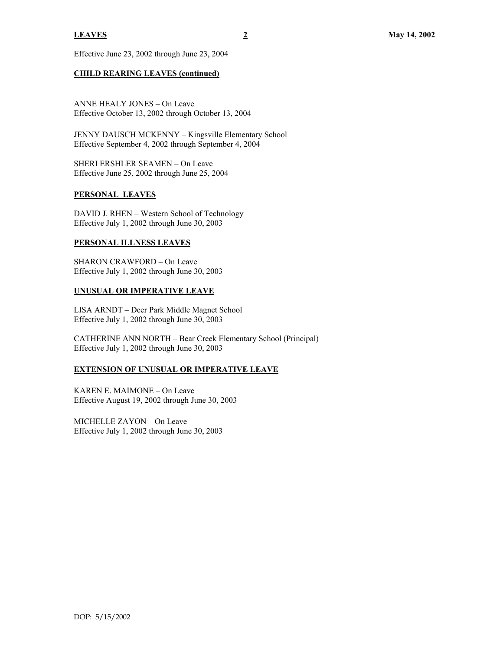Effective June 23, 2002 through June 23, 2004

# **CHILD REARING LEAVES (continued)**

ANNE HEALY JONES – On Leave Effective October 13, 2002 through October 13, 2004

JENNY DAUSCH MCKENNY – Kingsville Elementary School Effective September 4, 2002 through September 4, 2004

SHERI ERSHLER SEAMEN – On Leave Effective June 25, 2002 through June 25, 2004

# **PERSONAL LEAVES**

DAVID J. RHEN – Western School of Technology Effective July 1, 2002 through June 30, 2003

# **PERSONAL ILLNESS LEAVES**

SHARON CRAWFORD – On Leave Effective July 1, 2002 through June 30, 2003

# **UNUSUAL OR IMPERATIVE LEAVE**

LISA ARNDT – Deer Park Middle Magnet School Effective July 1, 2002 through June 30, 2003

CATHERINE ANN NORTH – Bear Creek Elementary School (Principal) Effective July 1, 2002 through June 30, 2003

# **EXTENSION OF UNUSUAL OR IMPERATIVE LEAVE**

KAREN E. MAIMONE – On Leave Effective August 19, 2002 through June 30, 2003

MICHELLE ZAYON – On Leave Effective July 1, 2002 through June 30, 2003